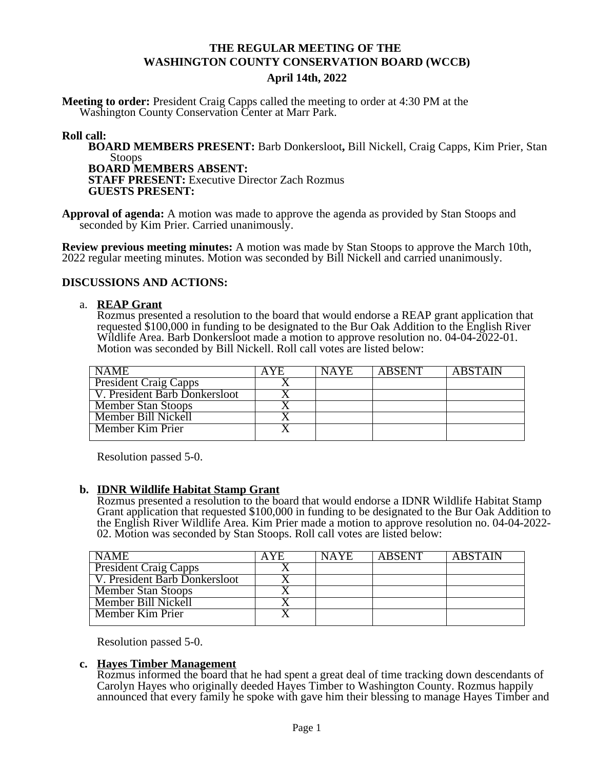# **THE REGULAR MEETING OF THE WASHINGTON COUNTY CONSERVATION BOARD (WCCB) April 14th, 2022**

**Meeting to order:** President Craig Capps called the meeting to order at 4:30 PM at the Washington County Conservation Center at Marr Park.

#### **Roll call:**

**BOARD MEMBERS PRESENT:** Barb Donkersloot**,** Bill Nickell, Craig Capps, Kim Prier, Stan Stoops **BOARD MEMBERS ABSENT: STAFF PRESENT:** Executive Director Zach Rozmus

**GUESTS PRESENT:**

**Approval of agenda:** A motion was made to approve the agenda as provided by Stan Stoops and seconded by Kim Prier. Carried unanimously.

**Review previous meeting minutes:** A motion was made by Stan Stoops to approve the March 10th, 2022 regular meeting minutes. Motion was seconded by Bill Nickell and carried unanimously.

## **DISCUSSIONS AND ACTIONS:**

#### a. **REAP Grant**

Rozmus presented a resolution to the board that would endorse a REAP grant application that requested \$100,000 in funding to be designated to the Bur Oak Addition to the English River Wildlife Area. Barb Donkersloot made a motion to approve resolution no. 04-04-2022-01. Motion was seconded by Bill Nickell. Roll call votes are listed below:

| <b>NAME</b>                   | A Y E | <b>NAYE</b> | <b>ARSENT</b> | <b>ABSTAIN</b> |
|-------------------------------|-------|-------------|---------------|----------------|
| <b>President Craig Capps</b>  |       |             |               |                |
| V. President Barb Donkersloot |       |             |               |                |
| <b>Member Stan Stoops</b>     |       |             |               |                |
| Member Bill Nickell           |       |             |               |                |
| <b>Member Kim Prier</b>       |       |             |               |                |
|                               |       |             |               |                |

Resolution passed 5-0.

#### **b. IDNR Wildlife Habitat Stamp Grant**

Rozmus presented a resolution to the board that would endorse a IDNR Wildlife Habitat Stamp Grant application that requested \$100,000 in funding to be designated to the Bur Oak Addition to the English River Wildlife Area. Kim Prier made a motion to approve resolution no. 04-04-2022- 02. Motion was seconded by Stan Stoops. Roll call votes are listed below:

| <b>NAME</b>                   | A Y E | <b>NAYE</b> | <b>ARSENT</b> | <b>ABSTAIN</b> |
|-------------------------------|-------|-------------|---------------|----------------|
| <b>President Craig Capps</b>  |       |             |               |                |
| V. President Barb Donkersloot |       |             |               |                |
| <b>Member Stan Stoops</b>     |       |             |               |                |
| Member Bill Nickell           |       |             |               |                |
| Member Kim Prier              |       |             |               |                |
|                               |       |             |               |                |

Resolution passed 5-0.

#### **c. Hayes Timber Management**

Rozmus informed the board that he had spent a great deal of time tracking down descendants of Carolyn Hayes who originally deeded Hayes Timber to Washington County. Rozmus happily announced that every family he spoke with gave him their blessing to manage Hayes Timber and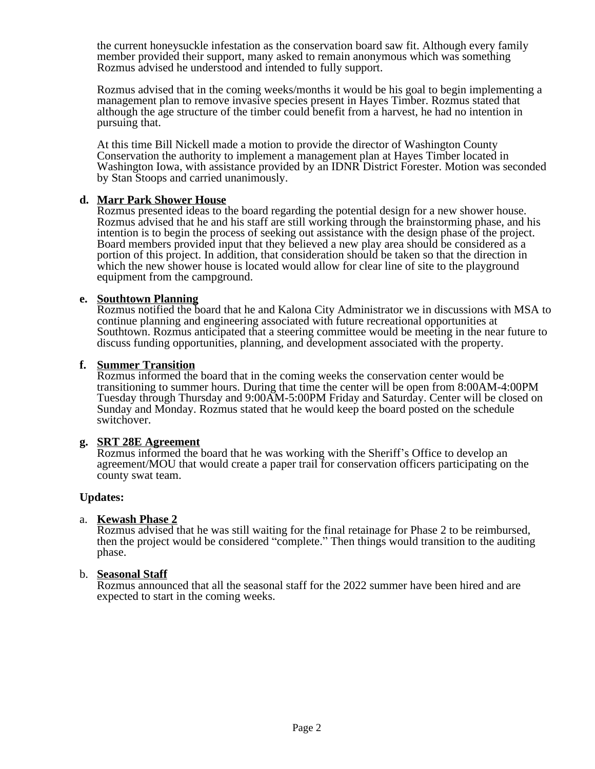the current honeysuckle infestation as the conservation board saw fit. Although every family member provided their support, many asked to remain anonymous which was something Rozmus advised he understood and intended to fully support.

Rozmus advised that in the coming weeks/months it would be his goal to begin implementing a management plan to remove invasive species present in Hayes Timber. Rozmus stated that although the age structure of the timber could benefit from a harvest, he had no intention in pursuing that.

At this time Bill Nickell made a motion to provide the director of Washington County Conservation the authority to implement a management plan at Hayes Timber located in Washington Iowa, with assistance provided by an IDNR District Forester. Motion was seconded by Stan Stoops and carried unanimously.

#### **d. Marr Park Shower House**

Rozmus presented ideas to the board regarding the potential design for a new shower house. Rozmus advised that he and his staff are still working through the brainstorming phase, and his intention is to begin the process of seeking out assistance with the design phase of the project. Board members provided input that they believed a new play area should be considered as a portion of this project. In addition, that consideration should be taken so that the direction in which the new shower house is located would allow for clear line of site to the playground equipment from the campground.

#### **e. Southtown Planning**

Rozmus notified the board that he and Kalona City Administrator we in discussions with MSA to continue planning and engineering associated with future recreational opportunities at Southtown. Rozmus anticipated that a steering committee would be meeting in the near future to discuss funding opportunities, planning, and development associated with the property.

#### **f. Summer Transition**

Rozmus informed the board that in the coming weeks the conservation center would be transitioning to summer hours. During that time the center will be open from 8:00AM-4:00PM Tuesday through Thursday and 9:00AM-5:00PM Friday and Saturday. Center will be closed on Sunday and Monday. Rozmus stated that he would keep the board posted on the schedule switchover.

#### **g. SRT 28E Agreement**

Rozmus informed the board that he was working with the Sheriff's Office to develop an agreement/MOU that would create a paper trail for conservation officers participating on the county swat team.

#### **Updates:**

#### a. **Kewash Phase 2**

Rozmus advised that he was still waiting for the final retainage for Phase 2 to be reimbursed, then the project would be considered "complete." Then things would transition to the auditing phase.

#### b. **Seasonal Staff**

Rozmus announced that all the seasonal staff for the 2022 summer have been hired and are expected to start in the coming weeks.